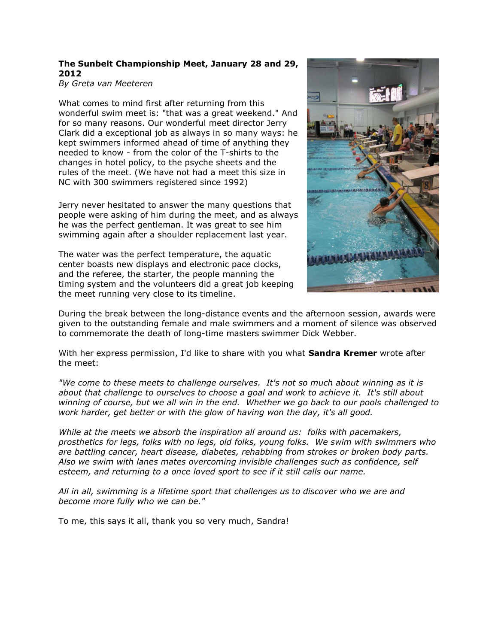## **The Sunbelt Championship Meet, January 28 and 29, 2012**

*By Greta van Meeteren*

What comes to mind first after returning from this wonderful swim meet is: "that was a great weekend." And for so many reasons. Our wonderful meet director Jerry Clark did a exceptional job as always in so many ways: he kept swimmers informed ahead of time of anything they needed to know - from the color of the T-shirts to the changes in hotel policy, to the psyche sheets and the rules of the meet. (We have not had a meet this size in NC with 300 swimmers registered since 1992)

Jerry never hesitated to answer the many questions that people were asking of him during the meet, and as always he was the perfect gentleman. It was great to see him swimming again after a shoulder replacement last year.

The water was the perfect temperature, the aquatic center boasts new displays and electronic pace clocks, and the referee, the starter, the people manning the timing system and the volunteers did a great job keeping the meet running very close to its timeline.



During the break between the long-distance events and the afternoon session, awards were given to the outstanding female and male swimmers and a moment of silence was observed to commemorate the death of long-time masters swimmer Dick Webber.

With her express permission, I'd like to share with you what **Sandra Kremer** wrote after the meet:

*"We come to these meets to challenge ourselves. It's not so much about winning as it is about that challenge to ourselves to choose a goal and work to achieve it. It's still about winning of course, but we all win in the end. Whether we go back to our pools challenged to work harder, get better or with the glow of having won the day, it's all good.*

*While at the meets we absorb the inspiration all around us: folks with pacemakers, prosthetics for legs, folks with no legs, old folks, young folks. We swim with swimmers who are battling cancer, heart disease, diabetes, rehabbing from strokes or broken body parts. Also we swim with lanes mates overcoming invisible challenges such as confidence, self esteem, and returning to a once loved sport to see if it still calls our name.*

*All in all, swimming is a lifetime sport that challenges us to discover who we are and become more fully who we can be."*

To me, this says it all, thank you so very much, Sandra!